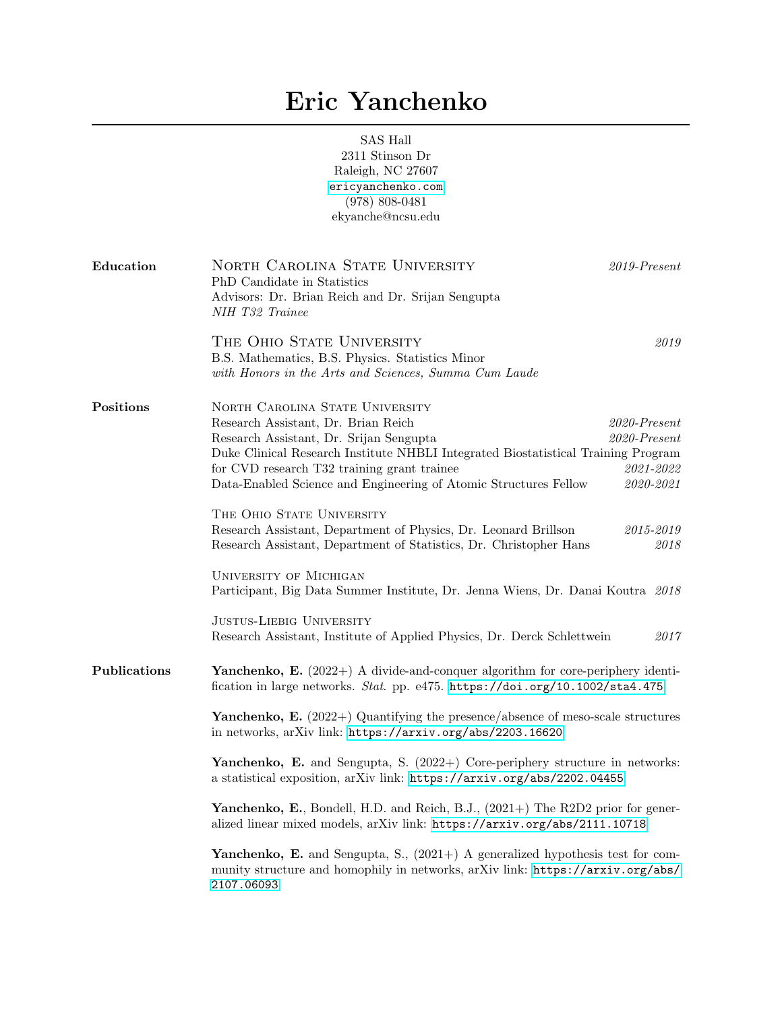## Eric Yanchenko

SAS Hall 2311 Stinson Dr Raleigh, NC 27607 <ericyanchenko.com> (978) 808-0481 ekyanche@ncsu.edu

| Education    | NORTH CAROLINA STATE UNIVERSITY<br>$2019$ -Present<br>PhD Candidate in Statistics<br>Advisors: Dr. Brian Reich and Dr. Srijan Sengupta<br>NIH T32 Trainee                                                                                                                                                                                                                                                              |  |  |
|--------------|------------------------------------------------------------------------------------------------------------------------------------------------------------------------------------------------------------------------------------------------------------------------------------------------------------------------------------------------------------------------------------------------------------------------|--|--|
|              | THE OHIO STATE UNIVERSITY<br>2019<br>B.S. Mathematics, B.S. Physics. Statistics Minor<br>with Honors in the Arts and Sciences, Summa Cum Laude                                                                                                                                                                                                                                                                         |  |  |
| Positions    | NORTH CAROLINA STATE UNIVERSITY<br>Research Assistant, Dr. Brian Reich<br>$2020$ -Present<br>Research Assistant, Dr. Srijan Sengupta<br>$2020$ -Present<br>Duke Clinical Research Institute NHBLI Integrated Biostatistical Training Program<br>2021-2022<br>for CVD research T32 training grant trainee<br>2020-2021<br>Data-Enabled Science and Engineering of Atomic Structures Fellow<br>THE OHIO STATE UNIVERSITY |  |  |
|              | Research Assistant, Department of Physics, Dr. Leonard Brillson<br>$2015 - 2019$<br>Research Assistant, Department of Statistics, Dr. Christopher Hans<br>2018<br><b>UNIVERSITY OF MICHIGAN</b><br>Participant, Big Data Summer Institute, Dr. Jenna Wiens, Dr. Danai Koutra 2018<br><b>JUSTUS-LIEBIG UNIVERSITY</b><br>2017<br>Research Assistant, Institute of Applied Physics, Dr. Derck Schlettwein                |  |  |
| Publications | <b>Yanchenko, E.</b> (2022+) A divide-and-conquer algorithm for core-periphery identi-<br>fication in large networks. Stat. pp. e475. https://doi.org/10.1002/sta4.475<br><b>Yanchenko, E.</b> (2022+) Quantifying the presence/absence of meso-scale structures<br>in networks, arXiv link: https://arxiv.org/abs/2203.16620                                                                                          |  |  |
|              | <b>Yanchenko, E.</b> and Sengupta, S. $(2022+)$ Core-periphery structure in networks:<br>a statistical exposition, arXiv link: https://arxiv.org/abs/2202.04455                                                                                                                                                                                                                                                        |  |  |
|              | <b>Yanchenko, E.</b> , Bondell, H.D. and Reich, B.J., $(2021+)$ The R2D2 prior for gener-<br>alized linear mixed models, arXiv link: https://arxiv.org/abs/2111.10718                                                                                                                                                                                                                                                  |  |  |
|              | <b>Yanchenko, E.</b> and Sengupta, S., $(2021+)$ A generalized hypothesis test for com-<br>munity structure and homophily in networks, arXiv link: https://arxiv.org/abs/<br>2107.06093                                                                                                                                                                                                                                |  |  |